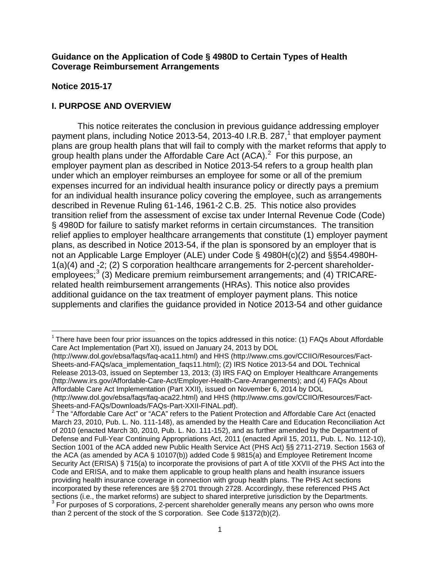### **Guidance on the Application of Code § 4980D to Certain Types of Health Coverage Reimbursement Arrangements**

#### **Notice 2015-17**

# **I. PURPOSE AND OVERVIEW**

This notice reiterates the conclusion in previous guidance addressing employer payment plans, including Notice 20[1](#page-0-0)3-54, 2013-40 I.R.B. 287, $<sup>1</sup>$  that employer payment</sup> plans are group health plans that will fail to comply with the market reforms that apply to group health plans under the Affordable Care Act  $(ACA)^2$  $(ACA)^2$  For this purpose, an employer payment plan as described in Notice 2013-54 refers to a group health plan under which an employer reimburses an employee for some or all of the premium expenses incurred for an individual health insurance policy or directly pays a premium for an individual health insurance policy covering the employee, such as arrangements described in Revenue Ruling 61-146, 1961-2 C.B. 25. This notice also provides transition relief from the assessment of excise tax under Internal Revenue Code (Code) § 4980D for failure to satisfy market reforms in certain circumstances. The transition relief applies to employer healthcare arrangements that constitute (1) employer payment plans, as described in Notice 2013-54, if the plan is sponsored by an employer that is not an Applicable Large Employer (ALE) under Code § 4980H(c)(2) and §§54.4980H-1(a)(4) and -2; (2) S corporation healthcare arrangements for 2-percent shareholder-employees;<sup>[3](#page-0-2)</sup> (3) Medicare premium reimbursement arrangements; and (4) TRICARErelated health reimbursement arrangements (HRAs). This notice also provides additional guidance on the tax treatment of employer payment plans. This notice supplements and clarifies the guidance provided in Notice 2013-54 and other guidance

(http://www.dol.gov/ebsa/faqs/faq-aca11.html) and HHS (http://www.cms.gov/CCIIO/Resources/Fact-Sheets-and-FAQs/aca\_implementation\_faqs11.html); (2) IRS Notice 2013-54 and DOL Technical Release 2013-03, issued on September 13, 2013; (3) IRS FAQ on Employer Healthcare Arrangements (http://www.irs.gov/Affordable-Care-Act/Employer-Health-Care-Arrangements); and (4) FAQs About Affordable Care Act Implementation (Part XXII), issued on November 6, 2014 by DOL

<span id="page-0-0"></span> $1$  There have been four prior issuances on the topics addressed in this notice: (1) FAQs About Affordable Care Act Implementation (Part XI), issued on January 24, 2013 by DOL

<sup>(</sup>http://www.dol.gov/ebsa/faqs/faq-aca22.html) and HHS (http://www.cms.gov/CCIIO/Resources/Fact-Sheets-and-FAQs/Downloads/FAQs-Part-XXII-FINAL.pdf).<br><sup>2</sup> The "Affordable Care Act" or "ACA" refers to the Patient Protection and Affordable Care Act (enacted

<span id="page-0-2"></span><span id="page-0-1"></span>March 23, 2010, Pub. L. No. 111-148), as amended by the Health Care and Education Reconciliation Act of 2010 (enacted March 30, 2010, Pub. L. No. 111-152), and as further amended by the Department of Defense and Full-Year Continuing Appropriations Act, 2011 (enacted April 15, 2011, Pub. L. No. 112-10), Section 1001 of the ACA added new Public Health Service Act (PHS Act) §§ 2711-2719. Section 1563 of the ACA (as amended by ACA § 10107(b)) added Code § 9815(a) and Employee Retirement Income Security Act (ERISA) § 715(a) to incorporate the provisions of part A of title XXVII of the PHS Act into the Code and ERISA, and to make them applicable to group health plans and health insurance issuers providing health insurance coverage in connection with group health plans. The PHS Act sections incorporated by these references are §§ 2701 through 2728. Accordingly, these referenced PHS Act sections (i.e., the market reforms) are subject to shared interpretive jurisdiction by the Departments. <sup>3</sup> For purposes of S corporations, 2-percent shareholder generally means any person who owns more than 2 percent of the stock of the S corporation. See Code §1372(b)(2).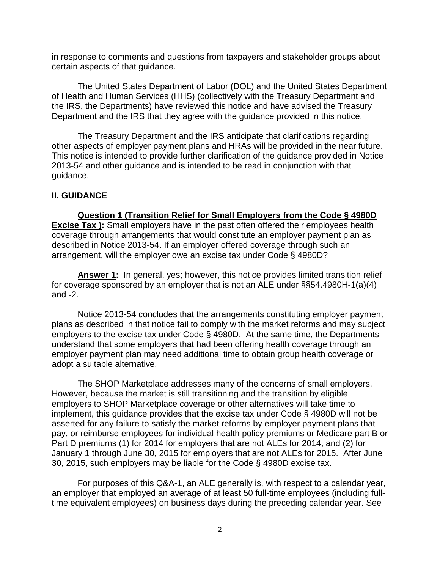in response to comments and questions from taxpayers and stakeholder groups about certain aspects of that guidance.

The United States Department of Labor (DOL) and the United States Department of Health and Human Services (HHS) (collectively with the Treasury Department and the IRS, the Departments) have reviewed this notice and have advised the Treasury Department and the IRS that they agree with the guidance provided in this notice.

The Treasury Department and the IRS anticipate that clarifications regarding other aspects of employer payment plans and HRAs will be provided in the near future. This notice is intended to provide further clarification of the guidance provided in Notice 2013-54 and other guidance and is intended to be read in conjunction with that guidance.

## **II. GUIDANCE**

**Question 1 (Transition Relief for Small Employers from the Code § 4980D Excise Tax ):** Small employers have in the past often offered their employees health coverage through arrangements that would constitute an employer payment plan as described in Notice 2013-54. If an employer offered coverage through such an arrangement, will the employer owe an excise tax under Code § 4980D?

**Answer 1:** In general, yes; however, this notice provides limited transition relief for coverage sponsored by an employer that is not an ALE under §§54.4980H-1(a)(4) and -2.

Notice 2013-54 concludes that the arrangements constituting employer payment plans as described in that notice fail to comply with the market reforms and may subject employers to the excise tax under Code § 4980D. At the same time, the Departments understand that some employers that had been offering health coverage through an employer payment plan may need additional time to obtain group health coverage or adopt a suitable alternative.

The SHOP Marketplace addresses many of the concerns of small employers. However, because the market is still transitioning and the transition by eligible employers to SHOP Marketplace coverage or other alternatives will take time to implement, this guidance provides that the excise tax under Code § 4980D will not be asserted for any failure to satisfy the market reforms by employer payment plans that pay, or reimburse employees for individual health policy premiums or Medicare part B or Part D premiums (1) for 2014 for employers that are not ALEs for 2014, and (2) for January 1 through June 30, 2015 for employers that are not ALEs for 2015. After June 30, 2015, such employers may be liable for the Code § 4980D excise tax.

For purposes of this Q&A-1, an ALE generally is, with respect to a calendar year, an employer that employed an average of at least 50 full-time employees (including fulltime equivalent employees) on business days during the preceding calendar year. See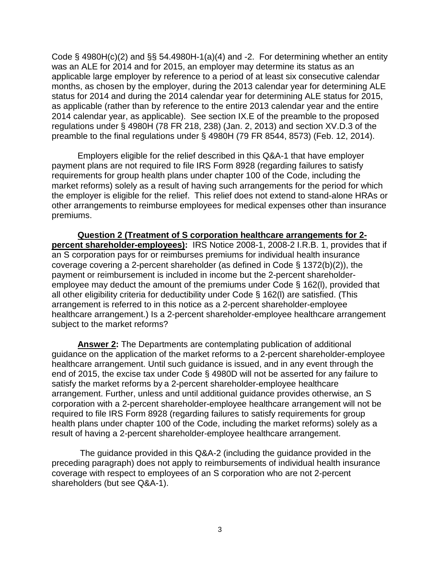Code § 4980H(c)(2) and §§ 54.4980H-1(a)(4) and -2. For determining whether an entity was an ALE for 2014 and for 2015, an employer may determine its status as an applicable large employer by reference to a period of at least six consecutive calendar months, as chosen by the employer, during the 2013 calendar year for determining ALE status for 2014 and during the 2014 calendar year for determining ALE status for 2015, as applicable (rather than by reference to the entire 2013 calendar year and the entire 2014 calendar year, as applicable). See section IX.E of the preamble to the proposed regulations under § 4980H (78 FR 218, 238) (Jan. 2, 2013) and section XV.D.3 of the preamble to the final regulations under § 4980H (79 FR 8544, 8573) (Feb. 12, 2014).

Employers eligible for the relief described in this Q&A-1 that have employer payment plans are not required to file IRS Form 8928 (regarding failures to satisfy requirements for group health plans under chapter 100 of the Code, including the market reforms) solely as a result of having such arrangements for the period for which the employer is eligible for the relief. This relief does not extend to stand-alone HRAs or other arrangements to reimburse employees for medical expenses other than insurance premiums.

**Question 2 (Treatment of S corporation healthcare arrangements for 2 percent shareholder-employees):** IRS Notice 2008-1, 2008-2 I.R.B. 1, provides that if an S corporation pays for or reimburses premiums for individual health insurance coverage covering a 2-percent shareholder (as defined in Code § 1372(b)(2)), the payment or reimbursement is included in income but the 2-percent shareholderemployee may deduct the amount of the premiums under Code § 162(l), provided that all other eligibility criteria for deductibility under Code § 162(l) are satisfied. (This arrangement is referred to in this notice as a 2-percent shareholder-employee healthcare arrangement.) Is a 2-percent shareholder-employee healthcare arrangement subject to the market reforms?

**Answer 2:** The Departments are contemplating publication of additional guidance on the application of the market reforms to a 2-percent shareholder-employee healthcare arrangement. Until such guidance is issued, and in any event through the end of 2015, the excise tax under Code § 4980D will not be asserted for any failure to satisfy the market reforms by a 2-percent shareholder-employee healthcare arrangement. Further, unless and until additional guidance provides otherwise, an S corporation with a 2-percent shareholder-employee healthcare arrangement will not be required to file IRS Form 8928 (regarding failures to satisfy requirements for group health plans under chapter 100 of the Code, including the market reforms) solely as a result of having a 2-percent shareholder-employee healthcare arrangement.

The guidance provided in this Q&A-2 (including the guidance provided in the preceding paragraph) does not apply to reimbursements of individual health insurance coverage with respect to employees of an S corporation who are not 2-percent shareholders (but see Q&A-1).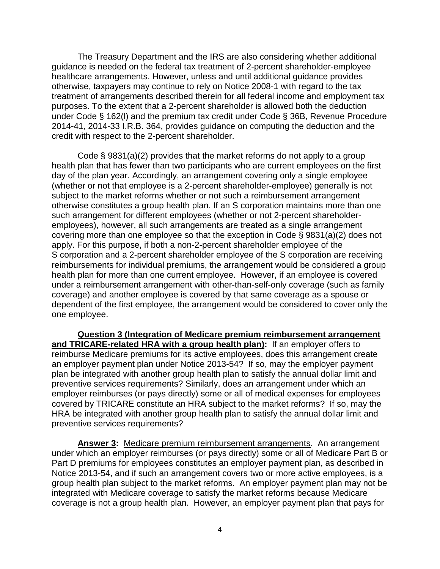The Treasury Department and the IRS are also considering whether additional guidance is needed on the federal tax treatment of 2-percent shareholder-employee healthcare arrangements. However, unless and until additional guidance provides otherwise, taxpayers may continue to rely on Notice 2008-1 with regard to the tax treatment of arrangements described therein for all federal income and employment tax purposes. To the extent that a 2-percent shareholder is allowed both the deduction under Code § 162(l) and the premium tax credit under Code § 36B, Revenue Procedure 2014-41, 2014-33 I.R.B. 364, provides guidance on computing the deduction and the credit with respect to the 2-percent shareholder.

Code § 9831(a)(2) provides that the market reforms do not apply to a group health plan that has fewer than two participants who are current employees on the first day of the plan year. Accordingly, an arrangement covering only a single employee (whether or not that employee is a 2-percent shareholder-employee) generally is not subject to the market reforms whether or not such a reimbursement arrangement otherwise constitutes a group health plan. If an S corporation maintains more than one such arrangement for different employees (whether or not 2-percent shareholderemployees), however, all such arrangements are treated as a single arrangement covering more than one employee so that the exception in Code § 9831(a)(2) does not apply. For this purpose, if both a non-2-percent shareholder employee of the S corporation and a 2-percent shareholder employee of the S corporation are receiving reimbursements for individual premiums, the arrangement would be considered a group health plan for more than one current employee. However, if an employee is covered under a reimbursement arrangement with other-than-self-only coverage (such as family coverage) and another employee is covered by that same coverage as a spouse or dependent of the first employee, the arrangement would be considered to cover only the one employee.

**Question 3 (Integration of Medicare premium reimbursement arrangement and TRICARE-related HRA with a group health plan):** If an employer offers to reimburse Medicare premiums for its active employees, does this arrangement create an employer payment plan under Notice 2013-54? If so, may the employer payment plan be integrated with another group health plan to satisfy the annual dollar limit and preventive services requirements? Similarly, does an arrangement under which an employer reimburses (or pays directly) some or all of medical expenses for employees covered by TRICARE constitute an HRA subject to the market reforms? If so, may the HRA be integrated with another group health plan to satisfy the annual dollar limit and preventive services requirements?

**Answer 3:** Medicare premium reimbursement arrangements. An arrangement under which an employer reimburses (or pays directly) some or all of Medicare Part B or Part D premiums for employees constitutes an employer payment plan, as described in Notice 2013-54, and if such an arrangement covers two or more active employees, is a group health plan subject to the market reforms. An employer payment plan may not be integrated with Medicare coverage to satisfy the market reforms because Medicare coverage is not a group health plan. However, an employer payment plan that pays for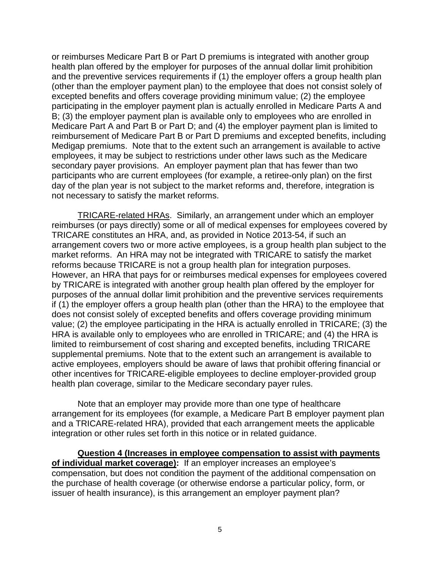or reimburses Medicare Part B or Part D premiums is integrated with another group health plan offered by the employer for purposes of the annual dollar limit prohibition and the preventive services requirements if (1) the employer offers a group health plan (other than the employer payment plan) to the employee that does not consist solely of excepted benefits and offers coverage providing minimum value; (2) the employee participating in the employer payment plan is actually enrolled in Medicare Parts A and B; (3) the employer payment plan is available only to employees who are enrolled in Medicare Part A and Part B or Part D; and (4) the employer payment plan is limited to reimbursement of Medicare Part B or Part D premiums and excepted benefits, including Medigap premiums. Note that to the extent such an arrangement is available to active employees, it may be subject to restrictions under other laws such as the Medicare secondary payer provisions. An employer payment plan that has fewer than two participants who are current employees (for example, a retiree-only plan) on the first day of the plan year is not subject to the market reforms and, therefore, integration is not necessary to satisfy the market reforms.

TRICARE-related HRAs. Similarly, an arrangement under which an employer reimburses (or pays directly) some or all of medical expenses for employees covered by TRICARE constitutes an HRA, and, as provided in Notice 2013-54, if such an arrangement covers two or more active employees, is a group health plan subject to the market reforms. An HRA may not be integrated with TRICARE to satisfy the market reforms because TRICARE is not a group health plan for integration purposes. However, an HRA that pays for or reimburses medical expenses for employees covered by TRICARE is integrated with another group health plan offered by the employer for purposes of the annual dollar limit prohibition and the preventive services requirements if (1) the employer offers a group health plan (other than the HRA) to the employee that does not consist solely of excepted benefits and offers coverage providing minimum value; (2) the employee participating in the HRA is actually enrolled in TRICARE; (3) the HRA is available only to employees who are enrolled in TRICARE; and (4) the HRA is limited to reimbursement of cost sharing and excepted benefits, including TRICARE supplemental premiums. Note that to the extent such an arrangement is available to active employees, employers should be aware of laws that prohibit offering financial or other incentives for TRICARE-eligible employees to decline employer-provided group health plan coverage, similar to the Medicare secondary payer rules.

Note that an employer may provide more than one type of healthcare arrangement for its employees (for example, a Medicare Part B employer payment plan and a TRICARE-related HRA), provided that each arrangement meets the applicable integration or other rules set forth in this notice or in related guidance.

**Question 4 (Increases in employee compensation to assist with payments of individual market coverage):** If an employer increases an employee's compensation, but does not condition the payment of the additional compensation on the purchase of health coverage (or otherwise endorse a particular policy, form, or issuer of health insurance), is this arrangement an employer payment plan?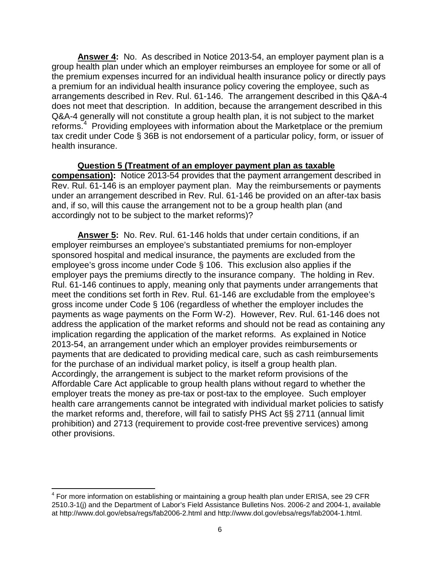**Answer 4:** No. As described in Notice 2013-54, an employer payment plan is a group health plan under which an employer reimburses an employee for some or all of the premium expenses incurred for an individual health insurance policy or directly pays a premium for an individual health insurance policy covering the employee, such as arrangements described in Rev. Rul. 61-146. The arrangement described in this Q&A-4 does not meet that description. In addition, because the arrangement described in this Q&A-4 generally will not constitute a group health plan, it is not subject to the market reforms.<sup>[4](#page-5-0)</sup> Providing employees with information about the Marketplace or the premium tax credit under Code § 36B is not endorsement of a particular policy, form, or issuer of health insurance.

**Question 5 (Treatment of an employer payment plan as taxable compensation):** Notice 2013-54 provides that the payment arrangement described in Rev. Rul. 61-146 is an employer payment plan. May the reimbursements or payments under an arrangement described in Rev. Rul. 61-146 be provided on an after-tax basis and, if so, will this cause the arrangement not to be a group health plan (and accordingly not to be subject to the market reforms)?

**Answer 5:** No. Rev. Rul. 61-146 holds that under certain conditions, if an employer reimburses an employee's substantiated premiums for non-employer sponsored hospital and medical insurance, the payments are excluded from the employee's gross income under Code § 106. This exclusion also applies if the employer pays the premiums directly to the insurance company. The holding in Rev. Rul. 61-146 continues to apply, meaning only that payments under arrangements that meet the conditions set forth in Rev. Rul. 61-146 are excludable from the employee's gross income under Code § 106 (regardless of whether the employer includes the payments as wage payments on the Form W-2). However, Rev. Rul. 61-146 does not address the application of the market reforms and should not be read as containing any implication regarding the application of the market reforms. As explained in Notice 2013-54, an arrangement under which an employer provides reimbursements or payments that are dedicated to providing medical care, such as cash reimbursements for the purchase of an individual market policy, is itself a group health plan. Accordingly, the arrangement is subject to the market reform provisions of the Affordable Care Act applicable to group health plans without regard to whether the employer treats the money as pre-tax or post-tax to the employee. Such employer health care arrangements cannot be integrated with individual market policies to satisfy the market reforms and, therefore, will fail to satisfy PHS Act §§ 2711 (annual limit prohibition) and 2713 (requirement to provide cost-free preventive services) among other provisions.

<span id="page-5-0"></span> $<sup>4</sup>$  For more information on establishing or maintaining a group health plan under ERISA, see 29 CFR</sup> 2510.3-1(j) and the Department of Labor's Field Assistance Bulletins Nos. 2006-2 and 2004-1, available at http://www.dol.gov/ebsa/regs/fab2006-2.html and http://www.dol.gov/ebsa/regs/fab2004-1.html.